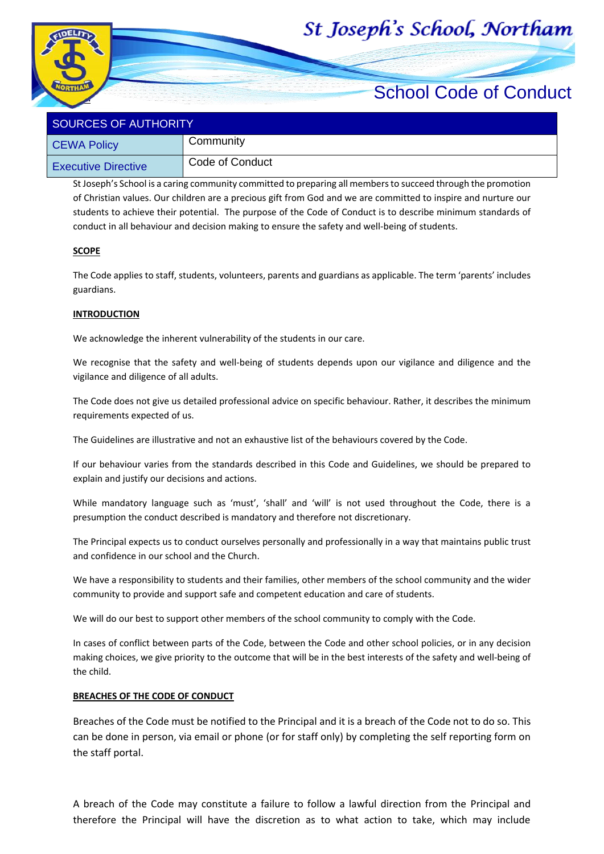# St Joseph's School, Northam



# School Code of Conduct

| <b>SOURCES OF AUTHORITY</b> |                 |
|-----------------------------|-----------------|
| <b>CEWA Policy</b>          | Community       |
| <b>Executive Directive</b>  | Code of Conduct |

St Joseph's School is a caring community committed to preparing all members to succeed through the promotion of Christian values. Our children are a precious gift from God and we are committed to inspire and nurture our students to achieve their potential. The purpose of the Code of Conduct is to describe minimum standards of conduct in all behaviour and decision making to ensure the safety and well-being of students.

#### **SCOPE**

The Code applies to staff, students, volunteers, parents and guardians as applicable. The term 'parents' includes guardians.

#### **INTRODUCTION**

We acknowledge the inherent vulnerability of the students in our care.

We recognise that the safety and well-being of students depends upon our vigilance and diligence and the vigilance and diligence of all adults.

The Code does not give us detailed professional advice on specific behaviour. Rather, it describes the minimum requirements expected of us.

The Guidelines are illustrative and not an exhaustive list of the behaviours covered by the Code.

If our behaviour varies from the standards described in this Code and Guidelines, we should be prepared to explain and justify our decisions and actions.

While mandatory language such as 'must', 'shall' and 'will' is not used throughout the Code, there is a presumption the conduct described is mandatory and therefore not discretionary.

The Principal expects us to conduct ourselves personally and professionally in a way that maintains public trust and confidence in our school and the Church.

We have a responsibility to students and their families, other members of the school community and the wider community to provide and support safe and competent education and care of students.

We will do our best to support other members of the school community to comply with the Code.

In cases of conflict between parts of the Code, between the Code and other school policies, or in any decision making choices, we give priority to the outcome that will be in the best interests of the safety and well-being of the child.

#### **BREACHES OF THE CODE OF CONDUCT**

Breaches of the Code must be notified to the Principal and it is a breach of the Code not to do so. This can be done in person, via email or phone (or for staff only) by completing the self reporting form on the staff portal.

A breach of the Code may constitute a failure to follow a lawful direction from the Principal and therefore the Principal will have the discretion as to what action to take, which may include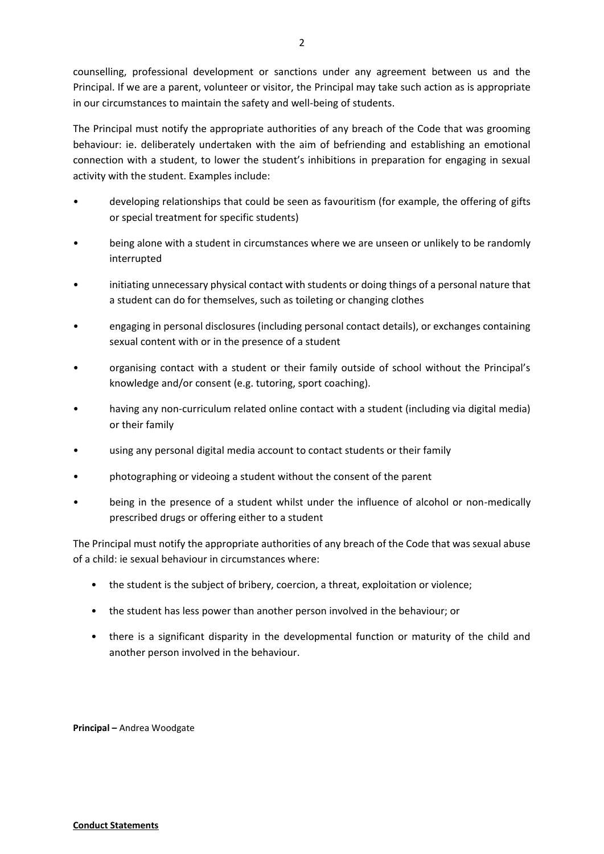counselling, professional development or sanctions under any agreement between us and the Principal. If we are a parent, volunteer or visitor, the Principal may take such action as is appropriate in our circumstances to maintain the safety and well-being of students.

The Principal must notify the appropriate authorities of any breach of the Code that was grooming behaviour: ie. deliberately undertaken with the aim of befriending and establishing an emotional connection with a student, to lower the student's inhibitions in preparation for engaging in sexual activity with the student. Examples include:

- developing relationships that could be seen as favouritism (for example, the offering of gifts or special treatment for specific students)
- being alone with a student in circumstances where we are unseen or unlikely to be randomly interrupted
- initiating unnecessary physical contact with students or doing things of a personal nature that a student can do for themselves, such as toileting or changing clothes
- engaging in personal disclosures (including personal contact details), or exchanges containing sexual content with or in the presence of a student
- organising contact with a student or their family outside of school without the Principal's knowledge and/or consent (e.g. tutoring, sport coaching).
- having any non-curriculum related online contact with a student (including via digital media) or their family
- using any personal digital media account to contact students or their family
- photographing or videoing a student without the consent of the parent
- being in the presence of a student whilst under the influence of alcohol or non-medically prescribed drugs or offering either to a student

The Principal must notify the appropriate authorities of any breach of the Code that was sexual abuse of a child: ie sexual behaviour in circumstances where:

- the student is the subject of bribery, coercion, a threat, exploitation or violence;
- the student has less power than another person involved in the behaviour; or
- there is a significant disparity in the developmental function or maturity of the child and another person involved in the behaviour.

**Principal –** Andrea Woodgate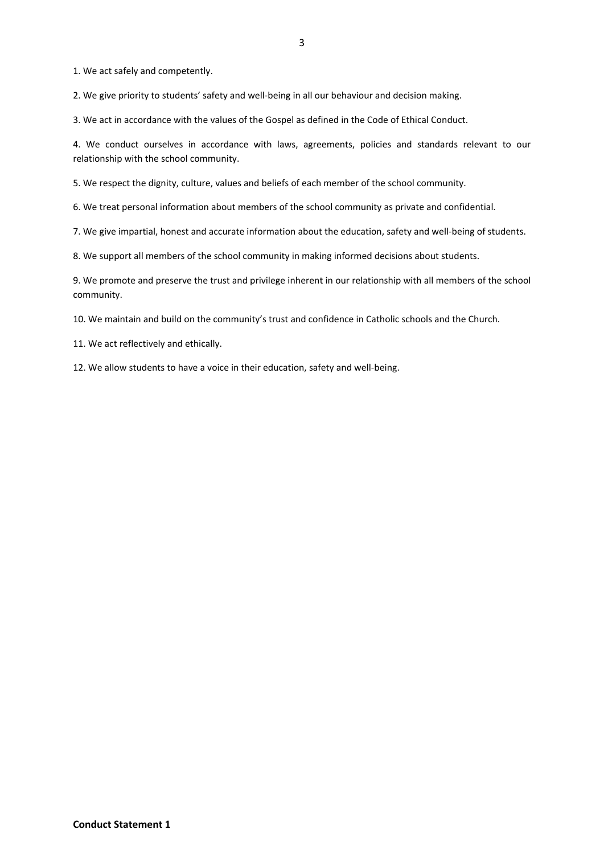1. We act safely and competently.

2. We give priority to students' safety and well-being in all our behaviour and decision making.

3. We act in accordance with the values of the Gospel as defined in the Code of Ethical Conduct.

4. We conduct ourselves in accordance with laws, agreements, policies and standards relevant to our relationship with the school community.

5. We respect the dignity, culture, values and beliefs of each member of the school community.

6. We treat personal information about members of the school community as private and confidential.

7. We give impartial, honest and accurate information about the education, safety and well-being of students.

8. We support all members of the school community in making informed decisions about students.

9. We promote and preserve the trust and privilege inherent in our relationship with all members of the school community.

10. We maintain and build on the community's trust and confidence in Catholic schools and the Church.

11. We act reflectively and ethically.

12. We allow students to have a voice in their education, safety and well-being.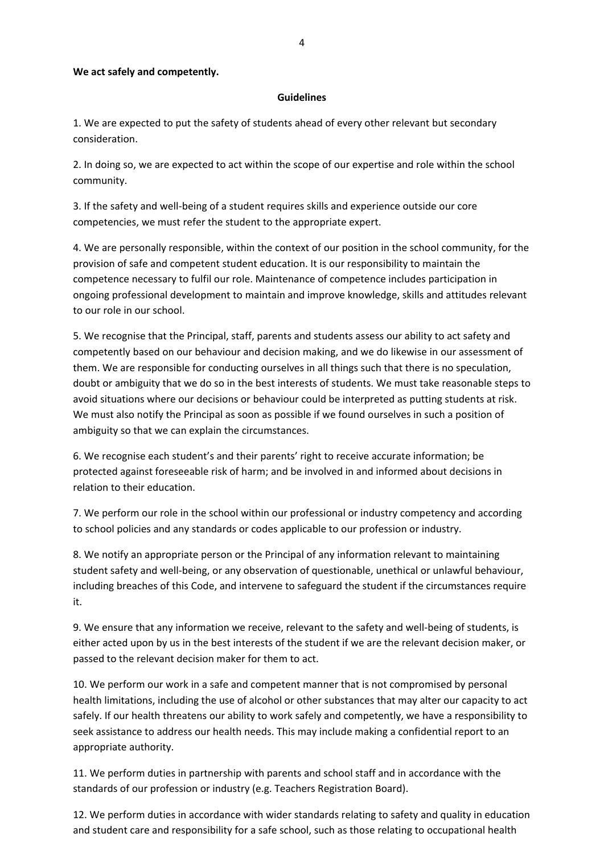## **We act safely and competently.**

## **Guidelines**

1. We are expected to put the safety of students ahead of every other relevant but secondary consideration.

2. In doing so, we are expected to act within the scope of our expertise and role within the school community.

3. If the safety and well-being of a student requires skills and experience outside our core competencies, we must refer the student to the appropriate expert.

4. We are personally responsible, within the context of our position in the school community, for the provision of safe and competent student education. It is our responsibility to maintain the competence necessary to fulfil our role. Maintenance of competence includes participation in ongoing professional development to maintain and improve knowledge, skills and attitudes relevant to our role in our school.

5. We recognise that the Principal, staff, parents and students assess our ability to act safety and competently based on our behaviour and decision making, and we do likewise in our assessment of them. We are responsible for conducting ourselves in all things such that there is no speculation, doubt or ambiguity that we do so in the best interests of students. We must take reasonable steps to avoid situations where our decisions or behaviour could be interpreted as putting students at risk. We must also notify the Principal as soon as possible if we found ourselves in such a position of ambiguity so that we can explain the circumstances.

6. We recognise each student's and their parents' right to receive accurate information; be protected against foreseeable risk of harm; and be involved in and informed about decisions in relation to their education.

7. We perform our role in the school within our professional or industry competency and according to school policies and any standards or codes applicable to our profession or industry.

8. We notify an appropriate person or the Principal of any information relevant to maintaining student safety and well-being, or any observation of questionable, unethical or unlawful behaviour, including breaches of this Code, and intervene to safeguard the student if the circumstances require it.

9. We ensure that any information we receive, relevant to the safety and well-being of students, is either acted upon by us in the best interests of the student if we are the relevant decision maker, or passed to the relevant decision maker for them to act.

10. We perform our work in a safe and competent manner that is not compromised by personal health limitations, including the use of alcohol or other substances that may alter our capacity to act safely. If our health threatens our ability to work safely and competently, we have a responsibility to seek assistance to address our health needs. This may include making a confidential report to an appropriate authority.

11. We perform duties in partnership with parents and school staff and in accordance with the standards of our profession or industry (e.g. Teachers Registration Board).

12. We perform duties in accordance with wider standards relating to safety and quality in education and student care and responsibility for a safe school, such as those relating to occupational health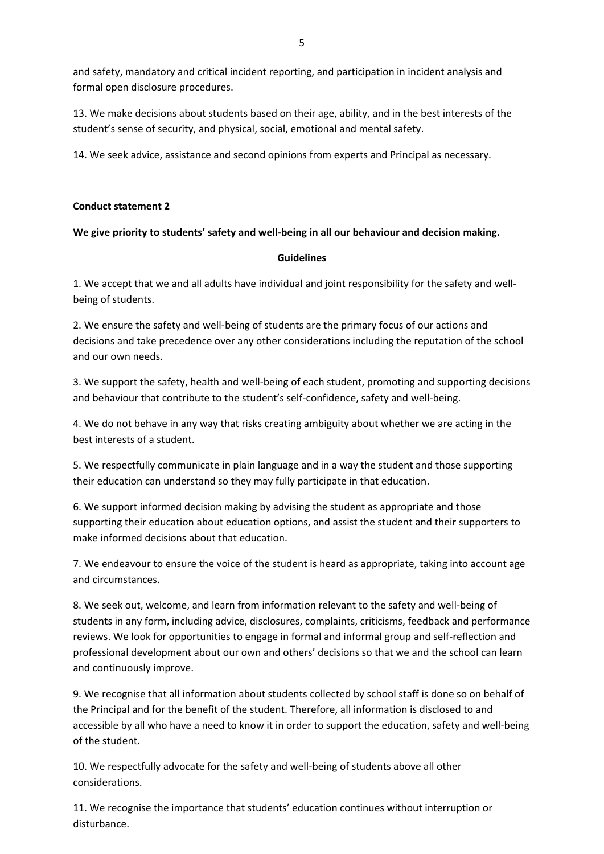and safety, mandatory and critical incident reporting, and participation in incident analysis and formal open disclosure procedures.

13. We make decisions about students based on their age, ability, and in the best interests of the student's sense of security, and physical, social, emotional and mental safety.

14. We seek advice, assistance and second opinions from experts and Principal as necessary.

## **Conduct statement 2**

## **We give priority to students' safety and well-being in all our behaviour and decision making.**

## **Guidelines**

1. We accept that we and all adults have individual and joint responsibility for the safety and wellbeing of students.

2. We ensure the safety and well-being of students are the primary focus of our actions and decisions and take precedence over any other considerations including the reputation of the school and our own needs.

3. We support the safety, health and well-being of each student, promoting and supporting decisions and behaviour that contribute to the student's self-confidence, safety and well-being.

4. We do not behave in any way that risks creating ambiguity about whether we are acting in the best interests of a student.

5. We respectfully communicate in plain language and in a way the student and those supporting their education can understand so they may fully participate in that education.

6. We support informed decision making by advising the student as appropriate and those supporting their education about education options, and assist the student and their supporters to make informed decisions about that education.

7. We endeavour to ensure the voice of the student is heard as appropriate, taking into account age and circumstances.

8. We seek out, welcome, and learn from information relevant to the safety and well-being of students in any form, including advice, disclosures, complaints, criticisms, feedback and performance reviews. We look for opportunities to engage in formal and informal group and self-reflection and professional development about our own and others' decisions so that we and the school can learn and continuously improve.

9. We recognise that all information about students collected by school staff is done so on behalf of the Principal and for the benefit of the student. Therefore, all information is disclosed to and accessible by all who have a need to know it in order to support the education, safety and well-being of the student.

10. We respectfully advocate for the safety and well-being of students above all other considerations.

11. We recognise the importance that students' education continues without interruption or disturbance.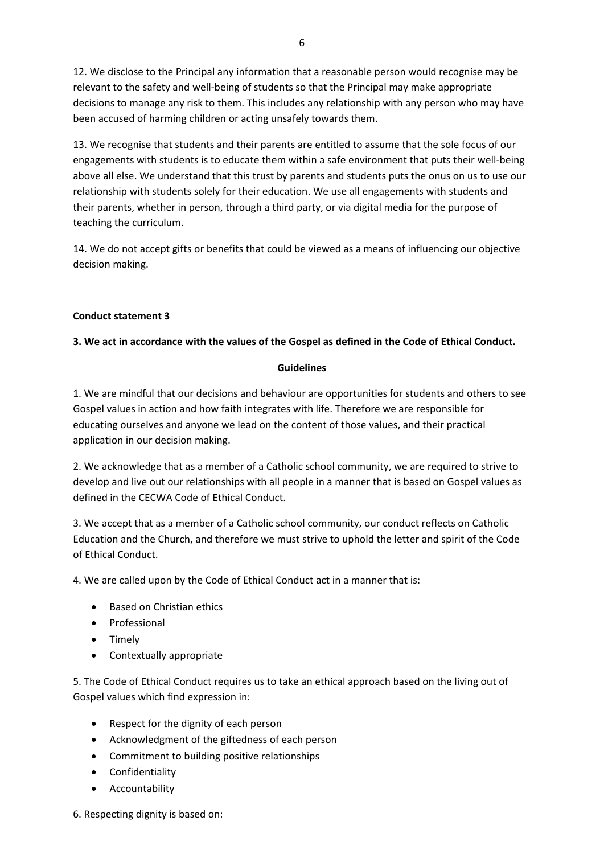12. We disclose to the Principal any information that a reasonable person would recognise may be relevant to the safety and well-being of students so that the Principal may make appropriate decisions to manage any risk to them. This includes any relationship with any person who may have been accused of harming children or acting unsafely towards them.

13. We recognise that students and their parents are entitled to assume that the sole focus of our engagements with students is to educate them within a safe environment that puts their well-being above all else. We understand that this trust by parents and students puts the onus on us to use our relationship with students solely for their education. We use all engagements with students and their parents, whether in person, through a third party, or via digital media for the purpose of teaching the curriculum.

14. We do not accept gifts or benefits that could be viewed as a means of influencing our objective decision making.

## **Conduct statement 3**

# **3. We act in accordance with the values of the Gospel as defined in the Code of Ethical Conduct.**

## **Guidelines**

1. We are mindful that our decisions and behaviour are opportunities for students and others to see Gospel values in action and how faith integrates with life. Therefore we are responsible for educating ourselves and anyone we lead on the content of those values, and their practical application in our decision making.

2. We acknowledge that as a member of a Catholic school community, we are required to strive to develop and live out our relationships with all people in a manner that is based on Gospel values as defined in the CECWA Code of Ethical Conduct.

3. We accept that as a member of a Catholic school community, our conduct reflects on Catholic Education and the Church, and therefore we must strive to uphold the letter and spirit of the Code of Ethical Conduct.

4. We are called upon by the Code of Ethical Conduct act in a manner that is:

- Based on Christian ethics
- Professional
- Timely
- Contextually appropriate

5. The Code of Ethical Conduct requires us to take an ethical approach based on the living out of Gospel values which find expression in:

- Respect for the dignity of each person
- Acknowledgment of the giftedness of each person
- Commitment to building positive relationships
- Confidentiality
- Accountability

6. Respecting dignity is based on: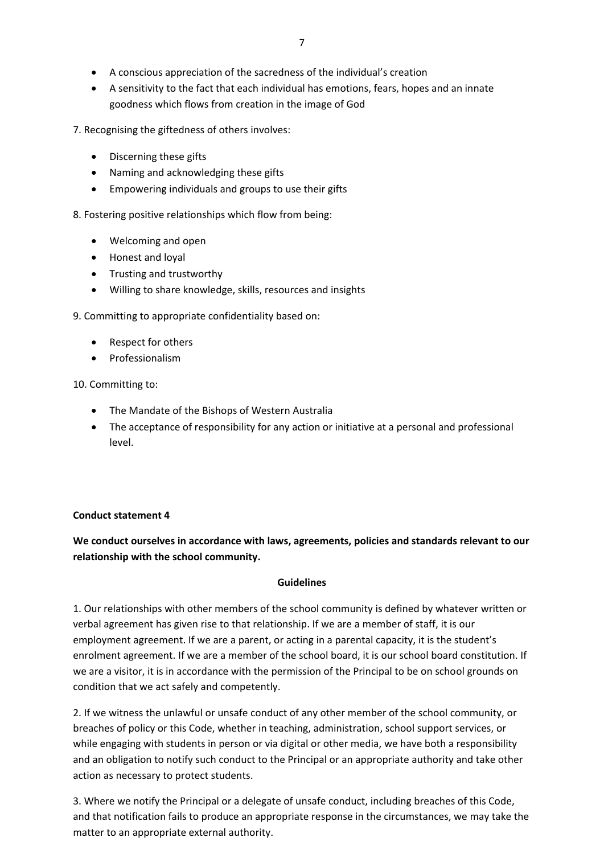- A conscious appreciation of the sacredness of the individual's creation
- A sensitivity to the fact that each individual has emotions, fears, hopes and an innate goodness which flows from creation in the image of God

7. Recognising the giftedness of others involves:

- Discerning these gifts
- Naming and acknowledging these gifts
- Empowering individuals and groups to use their gifts

8. Fostering positive relationships which flow from being:

- Welcoming and open
- Honest and loyal
- Trusting and trustworthy
- Willing to share knowledge, skills, resources and insights

9. Committing to appropriate confidentiality based on:

- Respect for others
- Professionalism

10. Committing to:

- The Mandate of the Bishops of Western Australia
- The acceptance of responsibility for any action or initiative at a personal and professional level.

## **Conduct statement 4**

# **We conduct ourselves in accordance with laws, agreements, policies and standards relevant to our relationship with the school community.**

## **Guidelines**

1. Our relationships with other members of the school community is defined by whatever written or verbal agreement has given rise to that relationship. If we are a member of staff, it is our employment agreement. If we are a parent, or acting in a parental capacity, it is the student's enrolment agreement. If we are a member of the school board, it is our school board constitution. If we are a visitor, it is in accordance with the permission of the Principal to be on school grounds on condition that we act safely and competently.

2. If we witness the unlawful or unsafe conduct of any other member of the school community, or breaches of policy or this Code, whether in teaching, administration, school support services, or while engaging with students in person or via digital or other media, we have both a responsibility and an obligation to notify such conduct to the Principal or an appropriate authority and take other action as necessary to protect students.

3. Where we notify the Principal or a delegate of unsafe conduct, including breaches of this Code, and that notification fails to produce an appropriate response in the circumstances, we may take the matter to an appropriate external authority.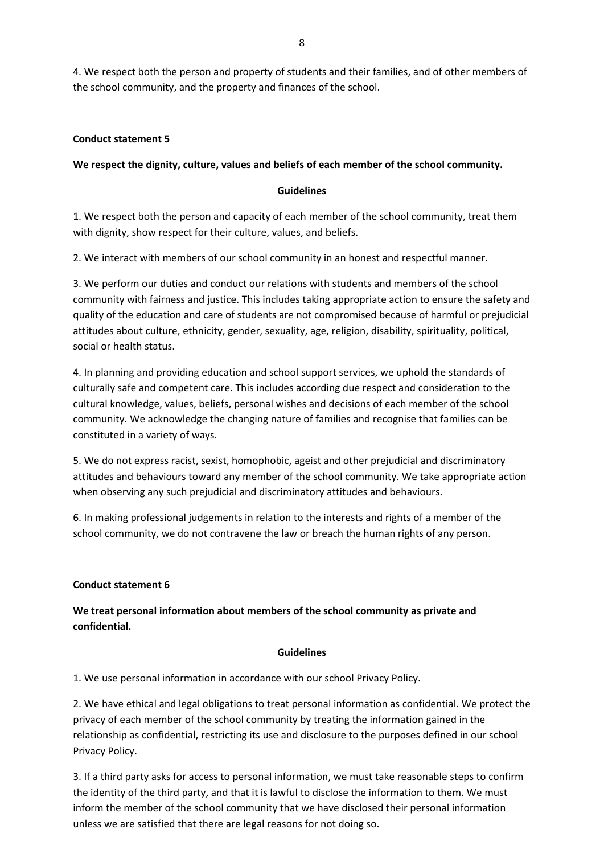4. We respect both the person and property of students and their families, and of other members of the school community, and the property and finances of the school.

## **Conduct statement 5**

## **We respect the dignity, culture, values and beliefs of each member of the school community.**

## **Guidelines**

1. We respect both the person and capacity of each member of the school community, treat them with dignity, show respect for their culture, values, and beliefs.

2. We interact with members of our school community in an honest and respectful manner.

3. We perform our duties and conduct our relations with students and members of the school community with fairness and justice. This includes taking appropriate action to ensure the safety and quality of the education and care of students are not compromised because of harmful or prejudicial attitudes about culture, ethnicity, gender, sexuality, age, religion, disability, spirituality, political, social or health status.

4. In planning and providing education and school support services, we uphold the standards of culturally safe and competent care. This includes according due respect and consideration to the cultural knowledge, values, beliefs, personal wishes and decisions of each member of the school community. We acknowledge the changing nature of families and recognise that families can be constituted in a variety of ways.

5. We do not express racist, sexist, homophobic, ageist and other prejudicial and discriminatory attitudes and behaviours toward any member of the school community. We take appropriate action when observing any such prejudicial and discriminatory attitudes and behaviours.

6. In making professional judgements in relation to the interests and rights of a member of the school community, we do not contravene the law or breach the human rights of any person.

## **Conduct statement 6**

# **We treat personal information about members of the school community as private and confidential.**

## **Guidelines**

1. We use personal information in accordance with our school Privacy Policy.

2. We have ethical and legal obligations to treat personal information as confidential. We protect the privacy of each member of the school community by treating the information gained in the relationship as confidential, restricting its use and disclosure to the purposes defined in our school Privacy Policy.

3. If a third party asks for access to personal information, we must take reasonable steps to confirm the identity of the third party, and that it is lawful to disclose the information to them. We must inform the member of the school community that we have disclosed their personal information unless we are satisfied that there are legal reasons for not doing so.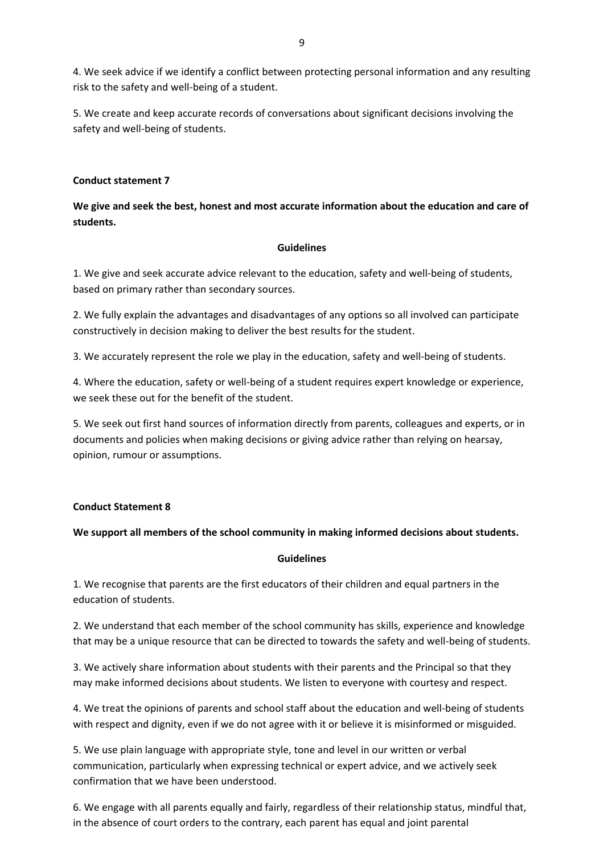4. We seek advice if we identify a conflict between protecting personal information and any resulting risk to the safety and well-being of a student.

5. We create and keep accurate records of conversations about significant decisions involving the safety and well-being of students.

## **Conduct statement 7**

# **We give and seek the best, honest and most accurate information about the education and care of students.**

## **Guidelines**

1. We give and seek accurate advice relevant to the education, safety and well-being of students, based on primary rather than secondary sources.

2. We fully explain the advantages and disadvantages of any options so all involved can participate constructively in decision making to deliver the best results for the student.

3. We accurately represent the role we play in the education, safety and well-being of students.

4. Where the education, safety or well-being of a student requires expert knowledge or experience, we seek these out for the benefit of the student.

5. We seek out first hand sources of information directly from parents, colleagues and experts, or in documents and policies when making decisions or giving advice rather than relying on hearsay, opinion, rumour or assumptions.

## **Conduct Statement 8**

# **We support all members of the school community in making informed decisions about students.**

## **Guidelines**

1. We recognise that parents are the first educators of their children and equal partners in the education of students.

2. We understand that each member of the school community has skills, experience and knowledge that may be a unique resource that can be directed to towards the safety and well-being of students.

3. We actively share information about students with their parents and the Principal so that they may make informed decisions about students. We listen to everyone with courtesy and respect.

4. We treat the opinions of parents and school staff about the education and well-being of students with respect and dignity, even if we do not agree with it or believe it is misinformed or misguided.

5. We use plain language with appropriate style, tone and level in our written or verbal communication, particularly when expressing technical or expert advice, and we actively seek confirmation that we have been understood.

6. We engage with all parents equally and fairly, regardless of their relationship status, mindful that, in the absence of court orders to the contrary, each parent has equal and joint parental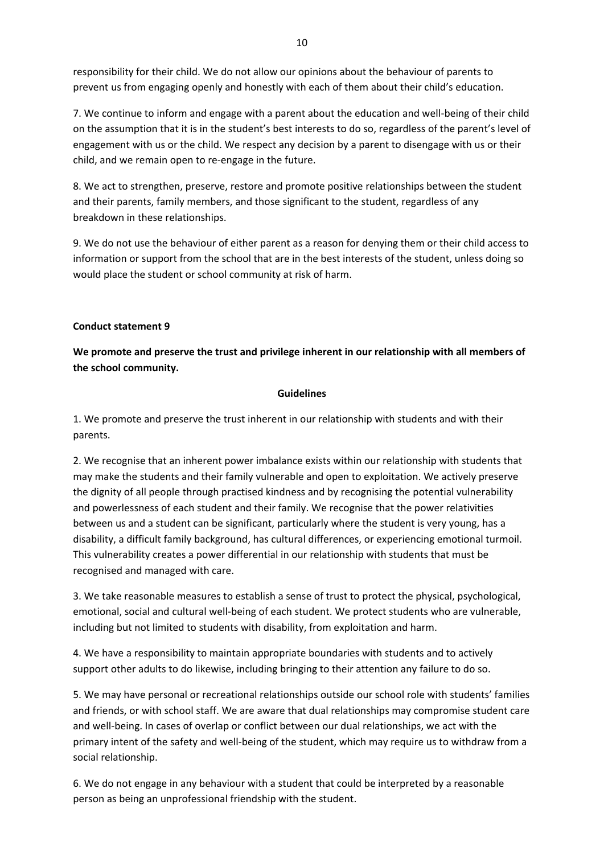responsibility for their child. We do not allow our opinions about the behaviour of parents to prevent us from engaging openly and honestly with each of them about their child's education.

7. We continue to inform and engage with a parent about the education and well-being of their child on the assumption that it is in the student's best interests to do so, regardless of the parent's level of engagement with us or the child. We respect any decision by a parent to disengage with us or their child, and we remain open to re-engage in the future.

8. We act to strengthen, preserve, restore and promote positive relationships between the student and their parents, family members, and those significant to the student, regardless of any breakdown in these relationships.

9. We do not use the behaviour of either parent as a reason for denying them or their child access to information or support from the school that are in the best interests of the student, unless doing so would place the student or school community at risk of harm.

## **Conduct statement 9**

**We promote and preserve the trust and privilege inherent in our relationship with all members of the school community.**

## **Guidelines**

1. We promote and preserve the trust inherent in our relationship with students and with their parents.

2. We recognise that an inherent power imbalance exists within our relationship with students that may make the students and their family vulnerable and open to exploitation. We actively preserve the dignity of all people through practised kindness and by recognising the potential vulnerability and powerlessness of each student and their family. We recognise that the power relativities between us and a student can be significant, particularly where the student is very young, has a disability, a difficult family background, has cultural differences, or experiencing emotional turmoil. This vulnerability creates a power differential in our relationship with students that must be recognised and managed with care.

3. We take reasonable measures to establish a sense of trust to protect the physical, psychological, emotional, social and cultural well-being of each student. We protect students who are vulnerable, including but not limited to students with disability, from exploitation and harm.

4. We have a responsibility to maintain appropriate boundaries with students and to actively support other adults to do likewise, including bringing to their attention any failure to do so.

5. We may have personal or recreational relationships outside our school role with students' families and friends, or with school staff. We are aware that dual relationships may compromise student care and well-being. In cases of overlap or conflict between our dual relationships, we act with the primary intent of the safety and well-being of the student, which may require us to withdraw from a social relationship.

6. We do not engage in any behaviour with a student that could be interpreted by a reasonable person as being an unprofessional friendship with the student.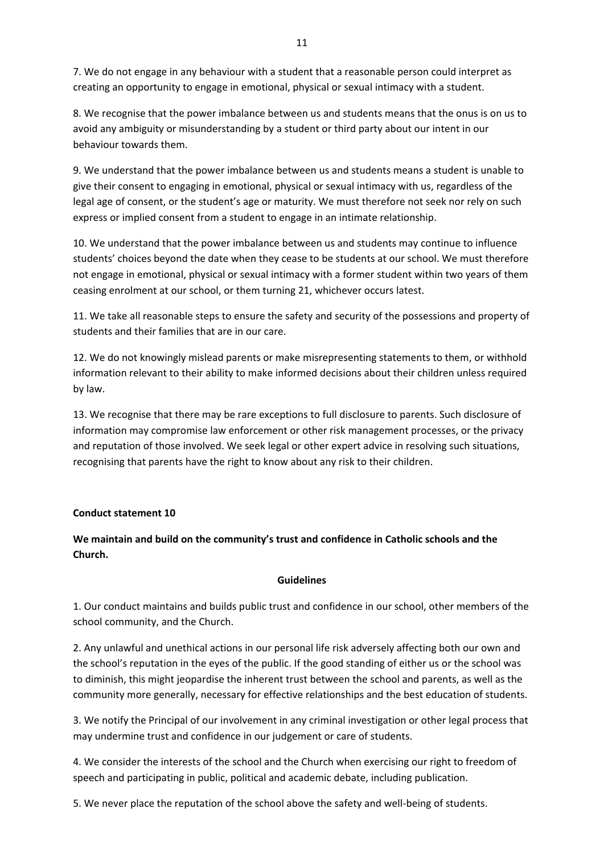7. We do not engage in any behaviour with a student that a reasonable person could interpret as creating an opportunity to engage in emotional, physical or sexual intimacy with a student.

8. We recognise that the power imbalance between us and students means that the onus is on us to avoid any ambiguity or misunderstanding by a student or third party about our intent in our behaviour towards them.

9. We understand that the power imbalance between us and students means a student is unable to give their consent to engaging in emotional, physical or sexual intimacy with us, regardless of the legal age of consent, or the student's age or maturity. We must therefore not seek nor rely on such express or implied consent from a student to engage in an intimate relationship.

10. We understand that the power imbalance between us and students may continue to influence students' choices beyond the date when they cease to be students at our school. We must therefore not engage in emotional, physical or sexual intimacy with a former student within two years of them ceasing enrolment at our school, or them turning 21, whichever occurs latest.

11. We take all reasonable steps to ensure the safety and security of the possessions and property of students and their families that are in our care.

12. We do not knowingly mislead parents or make misrepresenting statements to them, or withhold information relevant to their ability to make informed decisions about their children unless required by law.

13. We recognise that there may be rare exceptions to full disclosure to parents. Such disclosure of information may compromise law enforcement or other risk management processes, or the privacy and reputation of those involved. We seek legal or other expert advice in resolving such situations, recognising that parents have the right to know about any risk to their children.

## **Conduct statement 10**

**We maintain and build on the community's trust and confidence in Catholic schools and the Church.**

#### **Guidelines**

1. Our conduct maintains and builds public trust and confidence in our school, other members of the school community, and the Church.

2. Any unlawful and unethical actions in our personal life risk adversely affecting both our own and the school's reputation in the eyes of the public. If the good standing of either us or the school was to diminish, this might jeopardise the inherent trust between the school and parents, as well as the community more generally, necessary for effective relationships and the best education of students.

3. We notify the Principal of our involvement in any criminal investigation or other legal process that may undermine trust and confidence in our judgement or care of students.

4. We consider the interests of the school and the Church when exercising our right to freedom of speech and participating in public, political and academic debate, including publication.

5. We never place the reputation of the school above the safety and well-being of students.